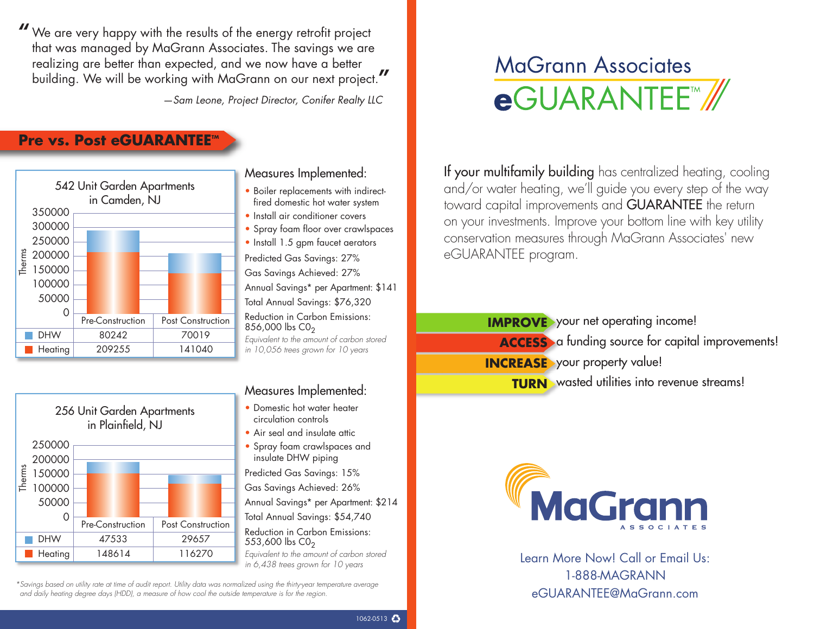We are very happy with the results of the energy retrofit project **"** that was managed by MaGrann Associates. The savings we are realizing are better than expected, and we now have a better building. We will be working with MaGrann on our next project. **"**

*—Sam Leone, Project Director, Conifer Realty LLC*

## **Pre vs. Post eGUARANTEE**<sup>*m*</sup>





#### Measures Implemented:

- Boiler replacements with indirectfired domestic hot water system
- Install air conditioner covers
- Spray foam floor over crawlspaces
- Install 1.5 gpm faucet aerators Predicted Gas Savings: 27% Gas Savings Achieved: 27% Annual Savings\* per Apartment: \$141 Total Annual Savings: \$76,320 Reduction in Carbon Emissions:  $856,000$  lbs  $CO<sub>2</sub>$ *Equivalent to the amount of carbon stored*

*in 10,056 trees grown for 10 years*

# **MaGrann Associates** eGUARANTEE™

If your multifamily building has centralized heating, cooling and/or water heating, we'll guide you every step of the way toward capital improvements and GUARANTEE the return on your investments. Improve your bottom line with key utility conservation measures through MaGrann Associates' new eGUARANTEE program.

> **IMPROVE** your net operating income! **ACCESS** a funding source for capital improvements! **INCREASE** your property value! **TURN** wasted utilities into revenue streams!

#### Measures Implemented:

- Domestic hot water heater circulation controls
- Air seal and insulate attic
- Spray foam crawlspaces and insulate DHW piping

Predicted Gas Savings: 15% Gas Savings Achieved: 26% Annual Savings\* per Apartment: \$214 Total Annual Savings: \$54,740 Reduction in Carbon Emissions: 553,600  $\rm{lbs}$  CO<sub>2</sub> *Equivalent to the amount of carbon stored in 6,438 trees grown for 10 years*

\*Savings based on utility rate at time of audit report. Utility data was normalized using the thirty-year temperature average and daily heating degree days (HDD), a measure of how cool the outside temperature is for the region.



Learn More Now! Call or Email Us: 1-888-MAGRANN eGUARANTEE@MaGrann.com